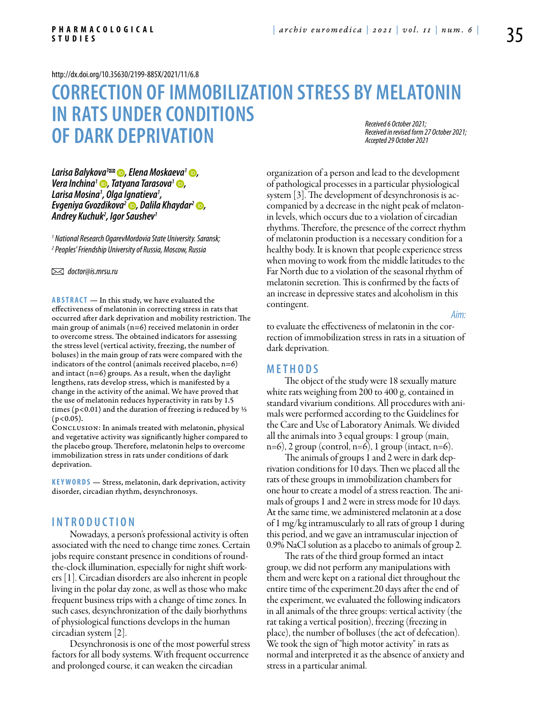http://dx.doi.org/10.35630/2199-885X/2021/11/6.8

### **Correction of immobilization stress by melatonin in rats under conditions of dark deprivation** *Received 6 October 2021; Received in revised form 27 October 2021; Accepted 29 October 2021*

*[Larisa Balykova](https://orcid.org/0000-0002-2290-0013)1 , [Elena Moskaeva1](https://orcid.org/0000-0003-0185-3067) , [Vera Inchina](https://orcid.org/0000-0003-2218-1554)1 , [Tatyana Tarasova](http://orcid.org/0000-0001-9745-9739)1 , Larisa Mosina1* Larisa Mosina<sup>1</sup>, Olga Ignatieva<sup>1</sup>, *Evgeniya Gvozdikova<sup>2</sup> D, Dalila Khaydar<sup>2</sup> D,* Andrey Kuchuk<sup>2</sup>, Igor Saushev<sup>1</sup>

*1 National Research OgarevMordovia State University. Saransk; 2 Peoples' Friendship University of Russia, Moscow, Russia*

 *doctor@is.mrsu.ru* 

**ABSTRACT** — In this study, we have evaluated the effectiveness of melatonin in correcting stress in rats that occurred after dark deprivation and mobility restriction. The main group of animals (n=6) received melatonin in order to overcome stress. The obtained indicators for assessing the stress level (vertical activity, freezing, the number of boluses) in the main group of rats were compared with the indicators of the control (animals received placebo, n=6) and intact (n=6) groups. As a result, when the daylight lengthens, rats develop stress, which is manifested by a change in the activity of the animal. We have proved that the use of melatonin reduces hyperactivity in rats by 1.5 times (p<0.01) and the duration of freezing is reduced by ⅓  $(p<0.05)$ .

Conclusion: In animals treated with melatonin, physical and vegetative activity was significantly higher compared to the placebo group. Therefore, melatonin helps to overcome immobilization stress in rats under conditions of dark deprivation.

KEYWORDS - Stress, melatonin, dark deprivation, activity disorder, circadian rhythm, desynchronosys.

## **I n t r o d u ct i o n**

Nowadays, a person's professional activity is often associated with the need to change time zones. Certain jobs require constant presence in conditions of roundthe-clock illumination, especially for night shift workers [1]. Circadian disorders are also inherent in people living in the polar day zone, as well as those who make frequent business trips with a change of time zones. In such cases, desynchronization of the daily biorhythms of physiological functions develops in the human circadian system [2].

Desynchronosis is one of the most powerful stress factors for all body systems. With frequent occurrence and prolonged course, it can weaken the circadian

organization of a person and lead to the development of pathological processes in a particular physiological system [3]. The development of desynchronosis is accompanied by a decrease in the night peak of melatonin levels, which occurs due to a violation of circadian rhythms. Therefore, the presence of the correct rhythm of melatonin production is a necessary condition for a healthy body. It is known that people experience stress when moving to work from the middle latitudes to the Far North due to a violation of the seasonal rhythm of melatonin secretion. This is confirmed by the facts of an increase in depressive states and alcoholism in this contingent.

*Aim:* 

to evaluate the effectiveness of melatonin in the correction of immobilization stress in rats in a situation of dark deprivation.

## **Me t h o d s**

The object of the study were 18 sexually mature white rats weighing from 200 to 400 g, contained in standard vivarium conditions. All procedures with animals were performed according to the Guidelines for the Care and Use of Laboratory Animals. We divided all the animals into 3 equal groups: 1 group (main,  $n=6$ ), 2 group (control,  $n=6$ ), 1 group (intact,  $n=6$ ).

The animals of groups 1 and 2 were in dark deprivation conditions for 10 days. Then we placed all the rats of these groups in immobilization chambers for one hour to create a model of a stress reaction. The animals of groups 1 and 2 were in stress mode for 10 days. At the same time, we administered melatonin at a dose of 1 mg/kg intramuscularly to all rats of group 1 during this period, and we gave an intramuscular injection of 0.9% NaCl solution as a placebo to animals of group 2.

The rats of the third group formed an intact group, we did not perform any manipulations with them and were kept on a rational diet throughout the entire time of the experiment.20 days after the end of the experiment, we evaluated the following indicators in all animals of the three groups: vertical activity (the rat taking a vertical position), freezing (freezing in place), the number of bolluses (the act of defecation). We took the sign of "high motor activity" in rats as normal and interpreted it as the absence of anxiety and stress in a particular animal.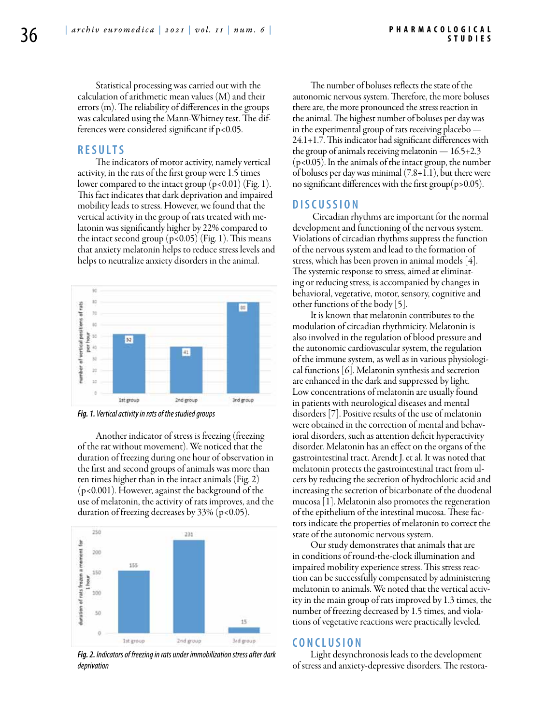Statistical processing was carried out with the calculation of arithmetic mean values (M) and their errors (m). The reliability of differences in the groups was calculated using the Mann-Whitney test. The differences were considered significant if p<0.05.

# **R e s u l t s**

The indicators of motor activity, namely vertical activity, in the rats of the first group were 1.5 times lower compared to the intact group (p<0.01) (Fig. 1). This fact indicates that dark deprivation and impaired mobility leads to stress. However, we found that the vertical activity in the group of rats treated with melatonin was significantly higher by 22% compared to the intact second group  $(p<0.05)$  (Fig. 1). This means that anxiety melatonin helps to reduce stress levels and helps to neutralize anxiety disorders in the animal.



*Fig. 1. Vertical activity in rats of the studied groups*

Another indicator of stress is freezing (freezing of the rat without movement). We noticed that the duration of freezing during one hour of observation in the first and second groups of animals was more than ten times higher than in the intact animals (Fig. 2) (p<0.001). However, against the background of the use of melatonin, the activity of rats improves, and the duration of freezing decreases by 33% (p<0.05).



*Fig. 2. Indicators of freezing in rats under immobilization stress after dark deprivation*

The number of boluses reflects the state of the autonomic nervous system. Therefore, the more boluses there are, the more pronounced the stress reaction in the animal. The highest number of boluses per day was in the experimental group of rats receiving placebo — 24.1+1.7. This indicator had significant differences with the group of animals receiving melatonin — 16.5+2.3 (p<0.05). In the animals of the intact group, the number of boluses per day was minimal (7.8+1.1), but there were no significant differences with the first group(p>0.05).

#### **D i sc u s s i o n**

 Circadian rhythms are important for the normal development and functioning of the nervous system. Violations of circadian rhythms suppress the function of the nervous system and lead to the formation of stress, which has been proven in animal models [4]. The systemic response to stress, aimed at eliminating or reducing stress, is accompanied by changes in behavioral, vegetative, motor, sensory, cognitive and other functions of the body [5].

It is known that melatonin contributes to the modulation of circadian rhythmicity. Melatonin is also involved in the regulation of blood pressure and the autonomic cardiovascular system, the regulation of the immune system, as well as in various physiological functions [6]. Melatonin synthesis and secretion are enhanced in the dark and suppressed by light. Low concentrations of melatonin are usually found in patients with neurological diseases and mental disorders [7]. Positive results of the use of melatonin were obtained in the correction of mental and behavioral disorders, such as attention deficit hyperactivity disorder. Melatonin has an effect on the organs of the gastrointestinal tract. Arendt J. et al. It was noted that melatonin protects the gastrointestinal tract from ulcers by reducing the secretion of hydrochloric acid and increasing the secretion of bicarbonate of the duodenal mucosa [1]. Melatonin also promotes the regeneration of the epithelium of the intestinal mucosa. These factors indicate the properties of melatonin to correct the state of the autonomic nervous system.

Our study demonstrates that animals that are in conditions of round-the-clock illumination and impaired mobility experience stress. This stress reaction can be successfully compensated by administering melatonin to animals. We noted that the vertical activity in the main group of rats improved by 1.3 times, the number of freezing decreased by 1.5 times, and violations of vegetative reactions were practically leveled.

### **C o n cl u s i o n**

Light desynchronosis leads to the development of stress and anxiety-depressive disorders. The restora-